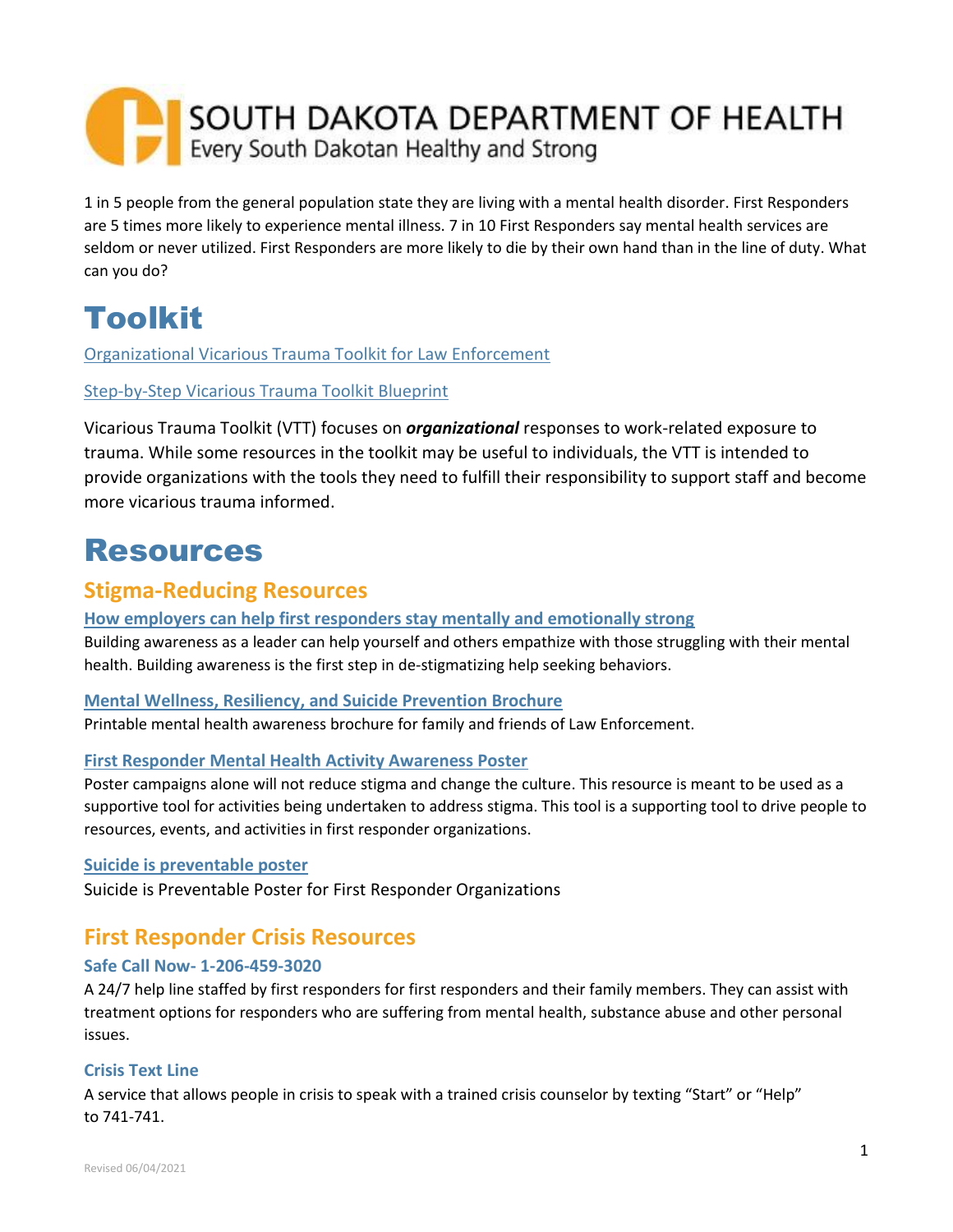# SOUTH DAKOTA DEPARTMENT OF HEALTH Every South Dakotan Healthy and Strong

1 in 5 people from the general population state they are living with a mental health disorder. First Responders are 5 times more likely to experience mental illness. 7 in 10 First Responders say mental health services are seldom or never utilized. First Responders are more likely to die by their own hand than in the line of duty. What can you do?

## Toolkit

[Organizational Vicarious Trauma Toolkit for Law Enforcement](https://ovc.ojp.gov/program/vtt/tools-law-enforcement)

#### [Step-by-Step Vicarious Trauma Toolkit Blueprint](https://ovc.ojp.gov/program/vtt/blueprint-for-a-vicarious-trauma-informed-organization)

Vicarious Trauma Toolkit (VTT) focuses on *organizational* responses to work-related exposure to trauma. While some resources in the toolkit may be useful to individuals, the VTT is intended to provide organizations with the tools they need to fulfill their responsibility to support staff and become more vicarious trauma informed.

## Resources

### **Stigma-Reducing Resources**

#### **[How employers can help first responders stay mentally and emotionally strong](https://business.kaiserpermanente.org/insights/mental-health-workplace/first-responder-support#:~:text=85%25%20of%20first%20responders%20have,related%20to%20mental%20health%20conditions.&text=Depression%20and%20PTSD%20are%20up,more%20common%20in%20first%20responders.)**

Building awareness as a leader can help yourself and others empathize with those struggling with their mental health. Building awareness is the first step in de-stigmatizing help seeking behaviors.

#### **[Mental Wellness, Resiliency, and Suicide Prevention Brochure](https://www.theiacp.org/sites/default/files/Suicide%20prevention%20brochure%202020.pdf)**

Printable mental health awareness brochure for family and friends of Law Enforcement.

#### **[First Responder Mental Health Activity Awareness Poster](https://bcfirstrespondersmentalhealth.com/resources/)**

Poster campaigns alone will not reduce stigma and change the culture. This resource is meant to be used as a supportive tool for activities being undertaken to address stigma. This tool is a supporting tool to drive people to resources, events, and activities in first responder organizations.

#### **[Suicide is preventable poster](https://www.theiacp.org/sites/default/files/2020-03/SP%20Poster_2019.pdf)**

Suicide is Preventable Poster for First Responder Organizations

### **First Responder Crisis Resources**

#### **Safe Call Now- 1-206-459-3020**

A 24/7 help line staffed by first responders for first responders and their family members. They can assist with treatment options for responders who are suffering from mental health, substance abuse and other personal issues.

#### **Crisis Text Line**

A service that allows people in crisis to speak with a trained crisis counselor by texting "Start" or "Help" to 741-741.